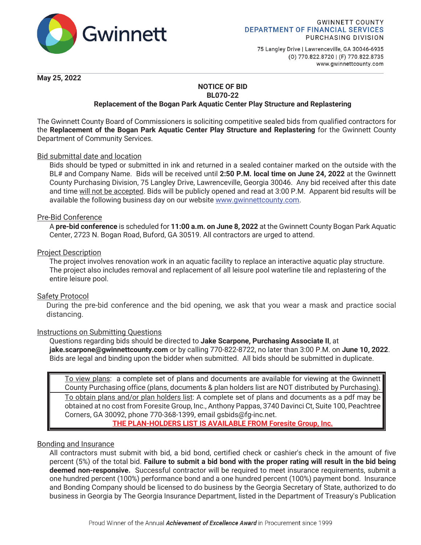

75 Langley Drive | Lawrenceville, GA 30046-6935 (0) 770.822.8720 | (F) 770.822.8735 www.gwinnettcounty.com

**May 25, 2022** 

#### **NOTICE OF BID BL070-22**

# **Replacement of the Bogan Park Aquatic Center Play Structure and Replastering**

The Gwinnett County Board of Commissioners is soliciting competitive sealed bids from qualified contractors for the **Replacement of the Bogan Park Aquatic Center Play Structure and Replastering** for the Gwinnett County Department of Community Services.

## Bid submittal date and location

Bids should be typed or submitted in ink and returned in a sealed container marked on the outside with the BL# and Company Name. Bids will be received until **2:50 P.M. local time on June 24, 2022** at the Gwinnett County Purchasing Division, 75 Langley Drive, Lawrenceville, Georgia 30046. Any bid received after this date and time will not be accepted. Bids will be publicly opened and read at 3:00 P.M. Apparent bid results will be available the following business day on our website www.gwinnettcounty.com.

### Pre-Bid Conference

A **pre-bid conference** is scheduled for **11:00 a.m. on June 8, 2022** at the Gwinnett County Bogan Park Aquatic Center, 2723 N. Bogan Road, Buford, GA 30519. All contractors are urged to attend.

### Project Description

The project involves renovation work in an aquatic facility to replace an interactive aquatic play structure. The project also includes removal and replacement of all leisure pool waterline tile and replastering of the entire leisure pool.

### Safety Protocol

During the pre-bid conference and the bid opening, we ask that you wear a mask and practice social distancing.

### Instructions on Submitting Questions

Questions regarding bids should be directed to **Jake Scarpone, Purchasing Associate II**, at **jake.scarpone@gwinnettcounty.com** or by calling 770-822-8722, no later than 3:00 P.M. on **June 10, 2022**. Bids are legal and binding upon the bidder when submitted. All bids should be submitted in duplicate.

To view plans: a complete set of plans and documents are available for viewing at the Gwinnett County Purchasing office (plans, documents & plan holders list are NOT distributed by Purchasing). To obtain plans and/or plan holders list: A complete set of plans and documents as a pdf may be obtained at no cost from Foresite Group, Inc., Anthony Pappas, 3740 Davinci Ct, Suite 100, Peachtree Corners, GA 30092, phone 770-368-1399, email gsbids@fg-inc.net. **THE PLAN-HOLDERS LIST IS AVAILABLE FROM Foresite Group, Inc.**

### Bonding and Insurance

All contractors must submit with bid, a bid bond, certified check or cashier's check in the amount of five percent (5%) of the total bid. **Failure to submit a bid bond with the proper rating will result in the bid being deemed non-responsive.** Successful contractor will be required to meet insurance requirements, submit a one hundred percent (100%) performance bond and a one hundred percent (100%) payment bond. Insurance and Bonding Company should be licensed to do business by the Georgia Secretary of State, authorized to do business in Georgia by The Georgia Insurance Department, listed in the Department of Treasury's Publication